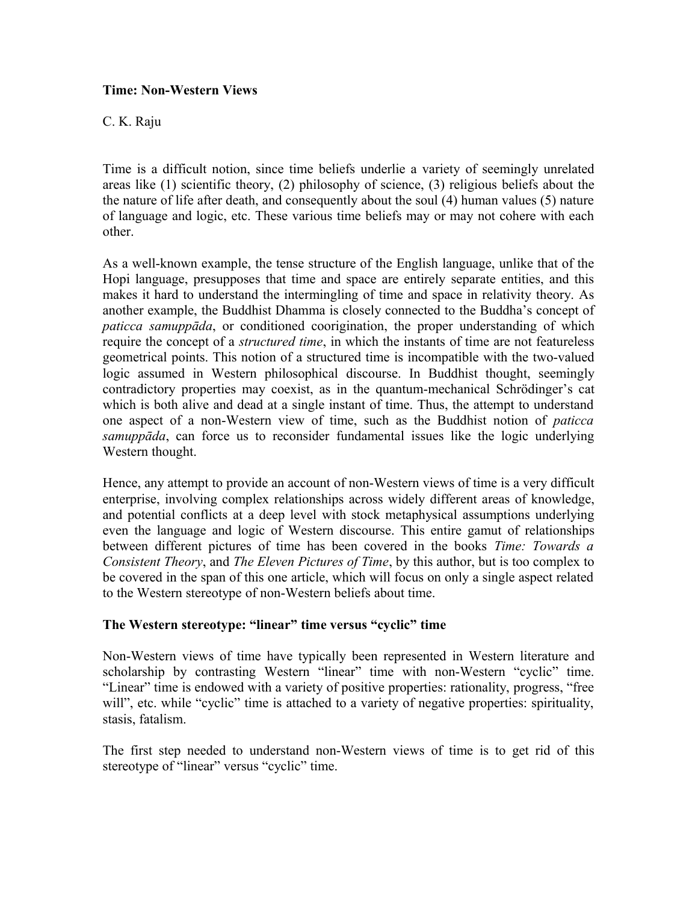# **Time: Non-Western Views**

C. K. Raju

Time is a difficult notion, since time beliefs underlie a variety of seemingly unrelated areas like (1) scientific theory, (2) philosophy of science, (3) religious beliefs about the the nature of life after death, and consequently about the soul (4) human values (5) nature of language and logic, etc. These various time beliefs may or may not cohere with each other.

As a well-known example, the tense structure of the English language, unlike that of the Hopi language, presupposes that time and space are entirely separate entities, and this makes it hard to understand the intermingling of time and space in relativity theory. As another example, the Buddhist Dhamma is closely connected to the Buddha's concept of *paticca samuppāda*, or conditioned coorigination, the proper understanding of which require the concept of a *structured time*, in which the instants of time are not featureless geometrical points. This notion of a structured time is incompatible with the two-valued logic assumed in Western philosophical discourse. In Buddhist thought, seemingly contradictory properties may coexist, as in the quantum-mechanical Schrödinger's cat which is both alive and dead at a single instant of time. Thus, the attempt to understand one aspect of a non-Western view of time, such as the Buddhist notion of *paticca samuppāda*, can force us to reconsider fundamental issues like the logic underlying Western thought.

Hence, any attempt to provide an account of non-Western views of time is a very difficult enterprise, involving complex relationships across widely different areas of knowledge, and potential conflicts at a deep level with stock metaphysical assumptions underlying even the language and logic of Western discourse. This entire gamut of relationships between different pictures of time has been covered in the books *Time: Towards a Consistent Theory*, and *The Eleven Pictures of Time*, by this author, but is too complex to be covered in the span of this one article, which will focus on only a single aspect related to the Western stereotype of non-Western beliefs about time.

### **The Western stereotype: "linear" time versus "cyclic" time**

Non-Western views of time have typically been represented in Western literature and scholarship by contrasting Western "linear" time with non-Western "cyclic" time. "Linear" time is endowed with a variety of positive properties: rationality, progress, "free will", etc. while "cyclic" time is attached to a variety of negative properties: spirituality, stasis, fatalism.

The first step needed to understand non-Western views of time is to get rid of this stereotype of "linear" versus "cyclic" time.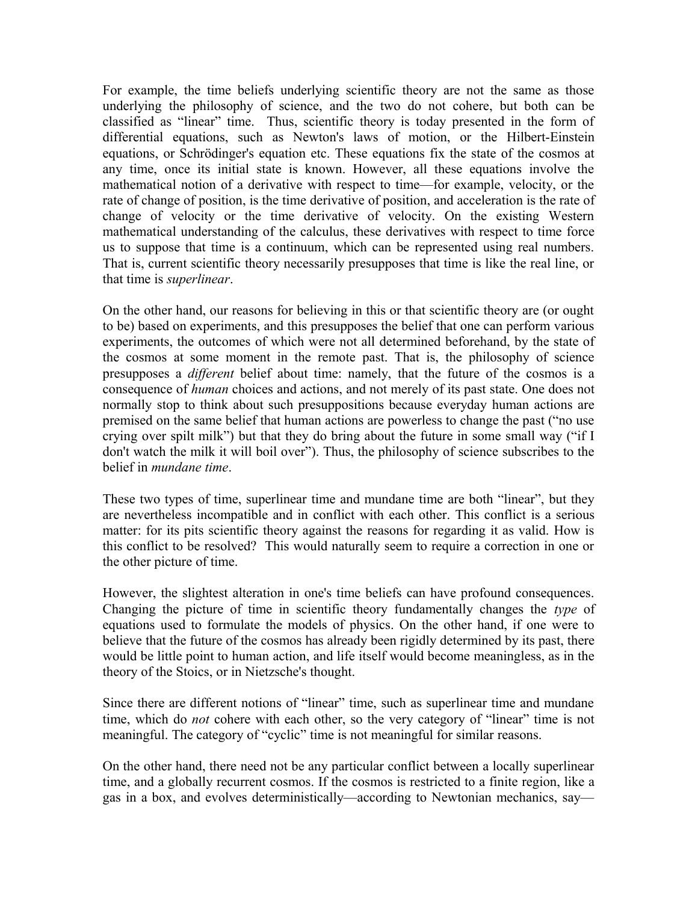For example, the time beliefs underlying scientific theory are not the same as those underlying the philosophy of science, and the two do not cohere, but both can be classified as "linear" time. Thus, scientific theory is today presented in the form of differential equations, such as Newton's laws of motion, or the Hilbert-Einstein equations, or Schrödinger's equation etc. These equations fix the state of the cosmos at any time, once its initial state is known. However, all these equations involve the mathematical notion of a derivative with respect to time—for example, velocity, or the rate of change of position, is the time derivative of position, and acceleration is the rate of change of velocity or the time derivative of velocity. On the existing Western mathematical understanding of the calculus, these derivatives with respect to time force us to suppose that time is a continuum, which can be represented using real numbers. That is, current scientific theory necessarily presupposes that time is like the real line, or that time is *superlinear*.

On the other hand, our reasons for believing in this or that scientific theory are (or ought to be) based on experiments, and this presupposes the belief that one can perform various experiments, the outcomes of which were not all determined beforehand, by the state of the cosmos at some moment in the remote past. That is, the philosophy of science presupposes a *different* belief about time: namely, that the future of the cosmos is a consequence of *human* choices and actions, and not merely of its past state. One does not normally stop to think about such presuppositions because everyday human actions are premised on the same belief that human actions are powerless to change the past ("no use crying over spilt milk") but that they do bring about the future in some small way ("if I don't watch the milk it will boil over"). Thus, the philosophy of science subscribes to the belief in *mundane time*.

These two types of time, superlinear time and mundane time are both "linear", but they are nevertheless incompatible and in conflict with each other. This conflict is a serious matter: for its pits scientific theory against the reasons for regarding it as valid. How is this conflict to be resolved? This would naturally seem to require a correction in one or the other picture of time.

However, the slightest alteration in one's time beliefs can have profound consequences. Changing the picture of time in scientific theory fundamentally changes the *type* of equations used to formulate the models of physics. On the other hand, if one were to believe that the future of the cosmos has already been rigidly determined by its past, there would be little point to human action, and life itself would become meaningless, as in the theory of the Stoics, or in Nietzsche's thought.

Since there are different notions of "linear" time, such as superlinear time and mundane time, which do *not* cohere with each other, so the very category of "linear" time is not meaningful. The category of "cyclic" time is not meaningful for similar reasons.

On the other hand, there need not be any particular conflict between a locally superlinear time, and a globally recurrent cosmos. If the cosmos is restricted to a finite region, like a gas in a box, and evolves deterministically—according to Newtonian mechanics, say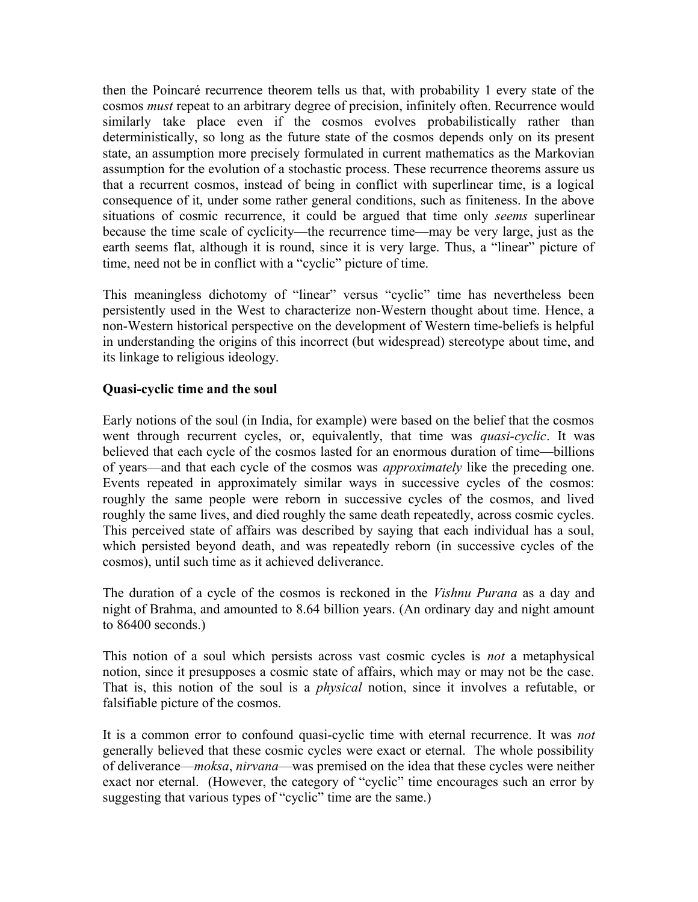then the Poincaré recurrence theorem tells us that, with probability 1 every state of the cosmos *must* repeat to an arbitrary degree of precision, infinitely often. Recurrence would similarly take place even if the cosmos evolves probabilistically rather than deterministically, so long as the future state of the cosmos depends only on its present state, an assumption more precisely formulated in current mathematics as the Markovian assumption for the evolution of a stochastic process. These recurrence theorems assure us that a recurrent cosmos, instead of being in conflict with superlinear time, is a logical consequence of it, under some rather general conditions, such as finiteness. In the above situations of cosmic recurrence, it could be argued that time only *seems* superlinear because the time scale of cyclicity—the recurrence time—may be very large, just as the earth seems flat, although it is round, since it is very large. Thus, a "linear" picture of time, need not be in conflict with a "cyclic" picture of time.

This meaningless dichotomy of "linear" versus "cyclic" time has nevertheless been persistently used in the West to characterize non-Western thought about time. Hence, a non-Western historical perspective on the development of Western time-beliefs is helpful in understanding the origins of this incorrect (but widespread) stereotype about time, and its linkage to religious ideology.

# **Quasi-cyclic time and the soul**

Early notions of the soul (in India, for example) were based on the belief that the cosmos went through recurrent cycles, or, equivalently, that time was *quasi-cyclic*. It was believed that each cycle of the cosmos lasted for an enormous duration of time—billions of years—and that each cycle of the cosmos was *approximately* like the preceding one. Events repeated in approximately similar ways in successive cycles of the cosmos: roughly the same people were reborn in successive cycles of the cosmos, and lived roughly the same lives, and died roughly the same death repeatedly, across cosmic cycles. This perceived state of affairs was described by saying that each individual has a soul, which persisted beyond death, and was repeatedly reborn (in successive cycles of the cosmos), until such time as it achieved deliverance.

The duration of a cycle of the cosmos is reckoned in the *Vishnu Purana* as a day and night of Brahma, and amounted to 8.64 billion years. (An ordinary day and night amount to 86400 seconds.)

This notion of a soul which persists across vast cosmic cycles is *not* a metaphysical notion, since it presupposes a cosmic state of affairs, which may or may not be the case. That is, this notion of the soul is a *physical* notion, since it involves a refutable, or falsifiable picture of the cosmos.

It is a common error to confound quasi-cyclic time with eternal recurrence. It was *not* generally believed that these cosmic cycles were exact or eternal. The whole possibility of deliverance—*moksa*, *nirvana*—was premised on the idea that these cycles were neither exact nor eternal. (However, the category of "cyclic" time encourages such an error by suggesting that various types of "cyclic" time are the same.)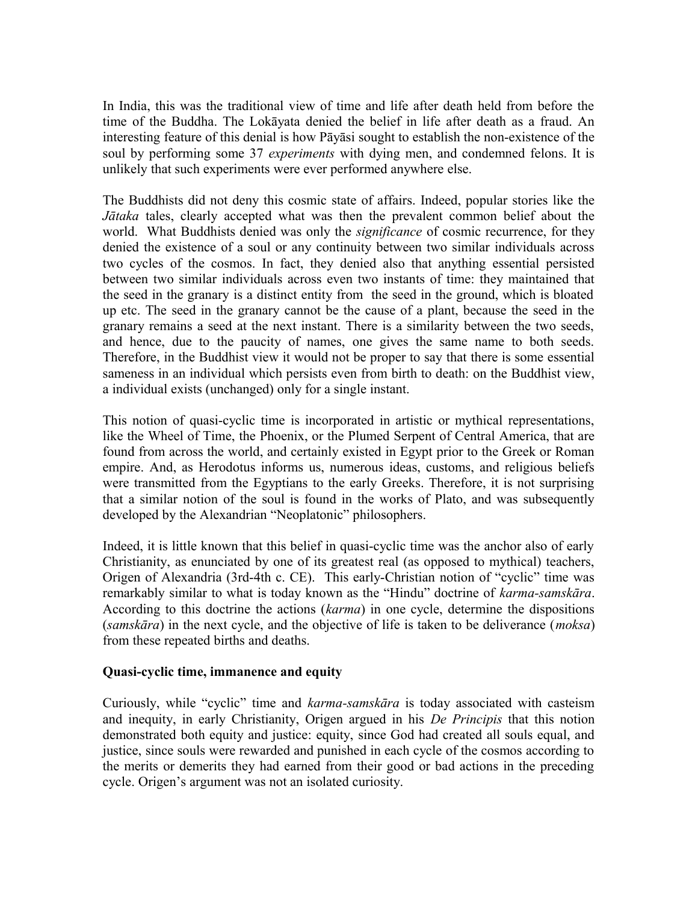In India, this was the traditional view of time and life after death held from before the time of the Buddha. The Lokāyata denied the belief in life after death as a fraud. An interesting feature of this denial is how Pāyāsi sought to establish the non-existence of the soul by performing some 37 *experiments* with dying men, and condemned felons. It is unlikely that such experiments were ever performed anywhere else.

The Buddhists did not deny this cosmic state of affairs. Indeed, popular stories like the *Jātaka* tales, clearly accepted what was then the prevalent common belief about the world. What Buddhists denied was only the *significance* of cosmic recurrence, for they denied the existence of a soul or any continuity between two similar individuals across two cycles of the cosmos. In fact, they denied also that anything essential persisted between two similar individuals across even two instants of time: they maintained that the seed in the granary is a distinct entity from the seed in the ground, which is bloated up etc. The seed in the granary cannot be the cause of a plant, because the seed in the granary remains a seed at the next instant. There is a similarity between the two seeds, and hence, due to the paucity of names, one gives the same name to both seeds. Therefore, in the Buddhist view it would not be proper to say that there is some essential sameness in an individual which persists even from birth to death: on the Buddhist view, a individual exists (unchanged) only for a single instant.

This notion of quasi-cyclic time is incorporated in artistic or mythical representations, like the Wheel of Time, the Phoenix, or the Plumed Serpent of Central America, that are found from across the world, and certainly existed in Egypt prior to the Greek or Roman empire. And, as Herodotus informs us, numerous ideas, customs, and religious beliefs were transmitted from the Egyptians to the early Greeks. Therefore, it is not surprising that a similar notion of the soul is found in the works of Plato, and was subsequently developed by the Alexandrian "Neoplatonic" philosophers.

Indeed, it is little known that this belief in quasi-cyclic time was the anchor also of early Christianity, as enunciated by one of its greatest real (as opposed to mythical) teachers, Origen of Alexandria (3rd-4th c. CE). This early-Christian notion of "cyclic" time was remarkably similar to what is today known as the "Hindu" doctrine of *karma-samskāra*. According to this doctrine the actions (*karma*) in one cycle, determine the dispositions (*samskāra*) in the next cycle, and the objective of life is taken to be deliverance (*moksa*) from these repeated births and deaths.

# **Quasi-cyclic time, immanence and equity**

Curiously, while "cyclic" time and *karma-samskāra* is today associated with casteism and inequity, in early Christianity, Origen argued in his *De Principis* that this notion demonstrated both equity and justice: equity, since God had created all souls equal, and justice, since souls were rewarded and punished in each cycle of the cosmos according to the merits or demerits they had earned from their good or bad actions in the preceding cycle. Origen's argument was not an isolated curiosity.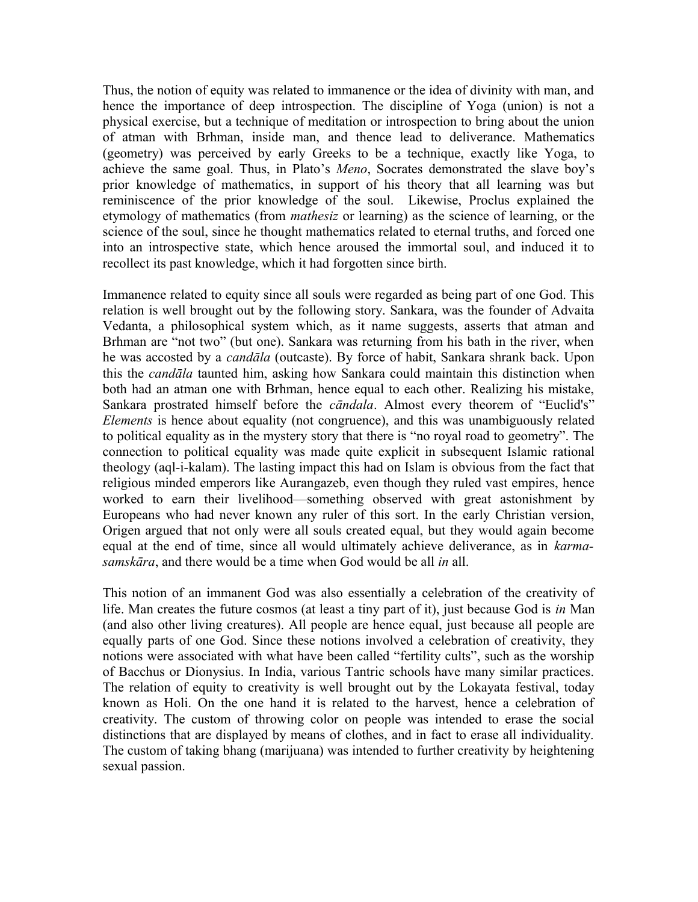Thus, the notion of equity was related to immanence or the idea of divinity with man, and hence the importance of deep introspection. The discipline of Yoga (union) is not a physical exercise, but a technique of meditation or introspection to bring about the union of atman with Brhman, inside man, and thence lead to deliverance. Mathematics (geometry) was perceived by early Greeks to be a technique, exactly like Yoga, to achieve the same goal. Thus, in Plato's *Meno*, Socrates demonstrated the slave boy's prior knowledge of mathematics, in support of his theory that all learning was but reminiscence of the prior knowledge of the soul. Likewise, Proclus explained the etymology of mathematics (from *mathesiz* or learning) as the science of learning, or the science of the soul, since he thought mathematics related to eternal truths, and forced one into an introspective state, which hence aroused the immortal soul, and induced it to recollect its past knowledge, which it had forgotten since birth.

Immanence related to equity since all souls were regarded as being part of one God. This relation is well brought out by the following story. Sankara, was the founder of Advaita Vedanta, a philosophical system which, as it name suggests, asserts that atman and Brhman are "not two" (but one). Sankara was returning from his bath in the river, when he was accosted by a *candāla* (outcaste). By force of habit, Sankara shrank back. Upon this the *candāla* taunted him, asking how Sankara could maintain this distinction when both had an atman one with Brhman, hence equal to each other. Realizing his mistake, Sankara prostrated himself before the *cāndala*. Almost every theorem of "Euclid's" *Elements* is hence about equality (not congruence), and this was unambiguously related to political equality as in the mystery story that there is "no royal road to geometry". The connection to political equality was made quite explicit in subsequent Islamic rational theology (aql-i-kalam). The lasting impact this had on Islam is obvious from the fact that religious minded emperors like Aurangazeb, even though they ruled vast empires, hence worked to earn their livelihood—something observed with great astonishment by Europeans who had never known any ruler of this sort. In the early Christian version, Origen argued that not only were all souls created equal, but they would again become equal at the end of time, since all would ultimately achieve deliverance, as in *karmasamskāra*, and there would be a time when God would be all *in* all.

This notion of an immanent God was also essentially a celebration of the creativity of life. Man creates the future cosmos (at least a tiny part of it), just because God is *in* Man (and also other living creatures). All people are hence equal, just because all people are equally parts of one God. Since these notions involved a celebration of creativity, they notions were associated with what have been called "fertility cults", such as the worship of Bacchus or Dionysius. In India, various Tantric schools have many similar practices. The relation of equity to creativity is well brought out by the Lokayata festival, today known as Holi. On the one hand it is related to the harvest, hence a celebration of creativity. The custom of throwing color on people was intended to erase the social distinctions that are displayed by means of clothes, and in fact to erase all individuality. The custom of taking bhang (marijuana) was intended to further creativity by heightening sexual passion.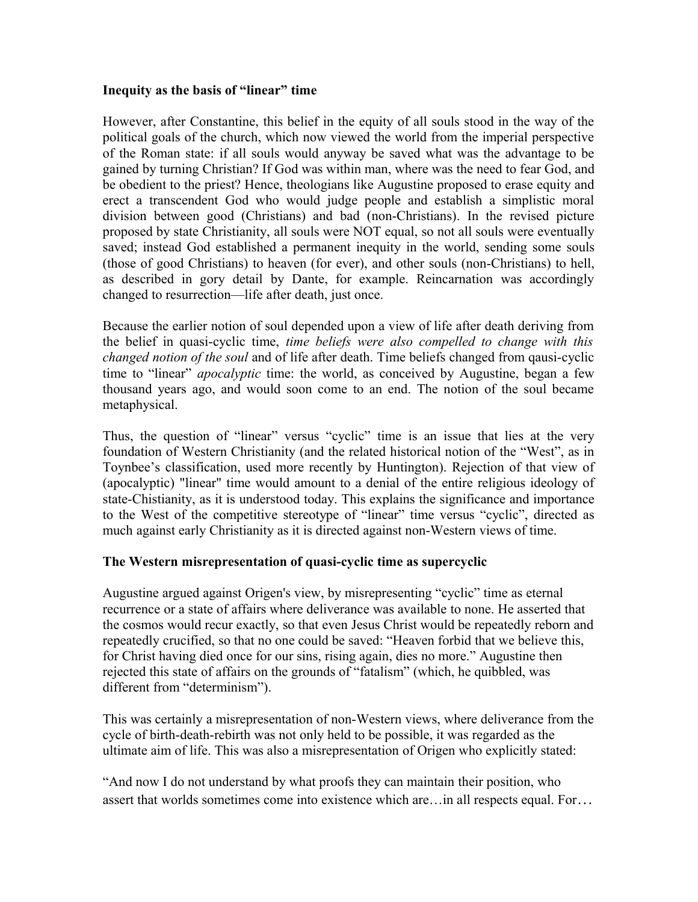### **Inequity as the basis of "linear" time**

However, after Constantine, this belief in the equity of all souls stood in the way of the political goals of the church, which now viewed the world from the imperial perspective of the Roman state: if all souls would anyway be saved what was the advantage to be gained by turning Christian? If God was within man, where was the need to fear God, and be obedient to the priest? Hence, theologians like Augustine proposed to erase equity and erect a transcendent God who would judge people and establish a simplistic moral division between good (Christians) and bad (non-Christians). In the revised picture proposed by state Christianity, all souls were NOT equal, so not all souls were eventually saved; instead God established a permanent inequity in the world, sending some souls (those of good Christians) to heaven (for ever), and other souls (non-Christians) to hell, as described in gory detail by Dante, for example. Reincarnation was accordingly changed to resurrection—life after death, just once.

Because the earlier notion of soul depended upon a view of life after death deriving from the belief in quasi-cyclic time, *time beliefs were also compelled to change with this changed notion of the soul* and of life after death. Time beliefs changed from qausi-cyclic time to "linear" *apocalyptic* time: the world, as conceived by Augustine, began a few thousand years ago, and would soon come to an end. The notion of the soul became metaphysical.

Thus, the question of "linear" versus "cyclic" time is an issue that lies at the very foundation of Western Christianity (and the related historical notion of the "West", as in Toynbee's classification, used more recently by Huntington). Rejection of that view of (apocalyptic) "linear" time would amount to a denial of the entire religious ideology of state-Chistianity, as it is understood today. This explains the significance and importance to the West of the competitive stereotype of "linear" time versus "cyclic", directed as much against early Christianity as it is directed against non-Western views of time.

### **The Western misrepresentation of quasi-cyclic time as supercyclic**

Augustine argued against Origen's view, by misrepresenting "cyclic" time as eternal recurrence or a state of affairs where deliverance was available to none. He asserted that the cosmos would recur exactly, so that even Jesus Christ would be repeatedly reborn and repeatedly crucified, so that no one could be saved: "Heaven forbid that we believe this, for Christ having died once for our sins, rising again, dies no more." Augustine then rejected this state of affairs on the grounds of "fatalism" (which, he quibbled, was different from "determinism").

This was certainly a misrepresentation of non-Western views, where deliverance from the cycle of birth-death-rebirth was not only held to be possible, it was regarded as the ultimate aim of life. This was also a misrepresentation of Origen who explicitly stated:

"And now I do not understand by what proofs they can maintain their position, who assert that worlds sometimes come into existence which are…in all respects equal. For…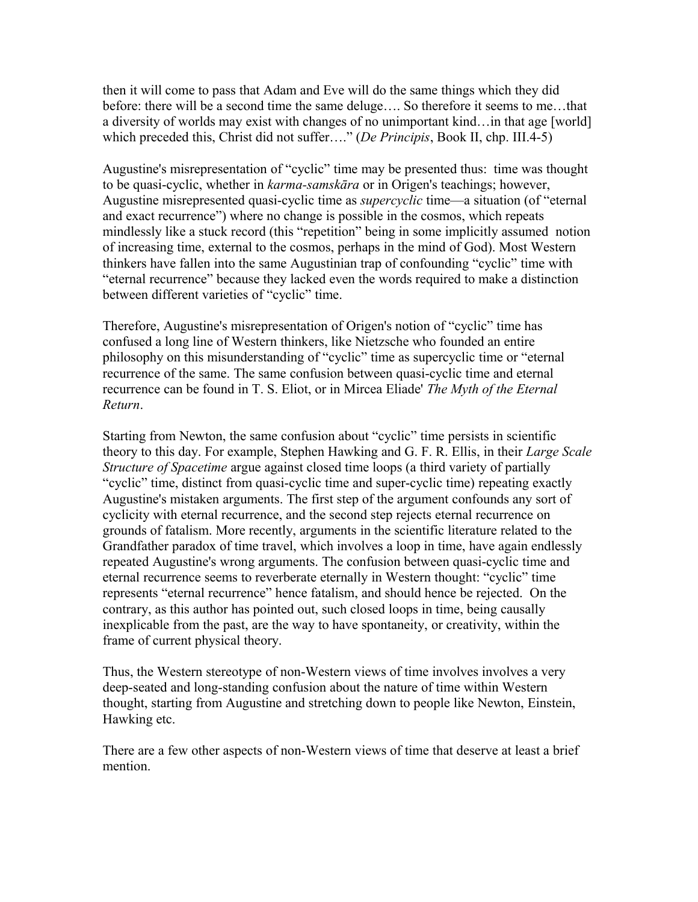then it will come to pass that Adam and Eve will do the same things which they did before: there will be a second time the same deluge…. So therefore it seems to me…that a diversity of worlds may exist with changes of no unimportant kind…in that age [world] which preceded this, Christ did not suffer…." (*De Principis*, Book II, chp. III.4-5)

Augustine's misrepresentation of "cyclic" time may be presented thus: time was thought to be quasi-cyclic, whether in *karma-samskāra* or in Origen's teachings; however, Augustine misrepresented quasi-cyclic time as *supercyclic* time—a situation (of "eternal and exact recurrence") where no change is possible in the cosmos, which repeats mindlessly like a stuck record (this "repetition" being in some implicitly assumed notion of increasing time, external to the cosmos, perhaps in the mind of God). Most Western thinkers have fallen into the same Augustinian trap of confounding "cyclic" time with "eternal recurrence" because they lacked even the words required to make a distinction between different varieties of "cyclic" time.

Therefore, Augustine's misrepresentation of Origen's notion of "cyclic" time has confused a long line of Western thinkers, like Nietzsche who founded an entire philosophy on this misunderstanding of "cyclic" time as supercyclic time or "eternal recurrence of the same. The same confusion between quasi-cyclic time and eternal recurrence can be found in T. S. Eliot, or in Mircea Eliade' *The Myth of the Eternal Return*.

Starting from Newton, the same confusion about "cyclic" time persists in scientific theory to this day. For example, Stephen Hawking and G. F. R. Ellis, in their *Large Scale Structure of Spacetime* argue against closed time loops (a third variety of partially "cyclic" time, distinct from quasi-cyclic time and super-cyclic time) repeating exactly Augustine's mistaken arguments. The first step of the argument confounds any sort of cyclicity with eternal recurrence, and the second step rejects eternal recurrence on grounds of fatalism. More recently, arguments in the scientific literature related to the Grandfather paradox of time travel, which involves a loop in time, have again endlessly repeated Augustine's wrong arguments. The confusion between quasi-cyclic time and eternal recurrence seems to reverberate eternally in Western thought: "cyclic" time represents "eternal recurrence" hence fatalism, and should hence be rejected. On the contrary, as this author has pointed out, such closed loops in time, being causally inexplicable from the past, are the way to have spontaneity, or creativity, within the frame of current physical theory.

Thus, the Western stereotype of non-Western views of time involves involves a very deep-seated and long-standing confusion about the nature of time within Western thought, starting from Augustine and stretching down to people like Newton, Einstein, Hawking etc.

There are a few other aspects of non-Western views of time that deserve at least a brief mention.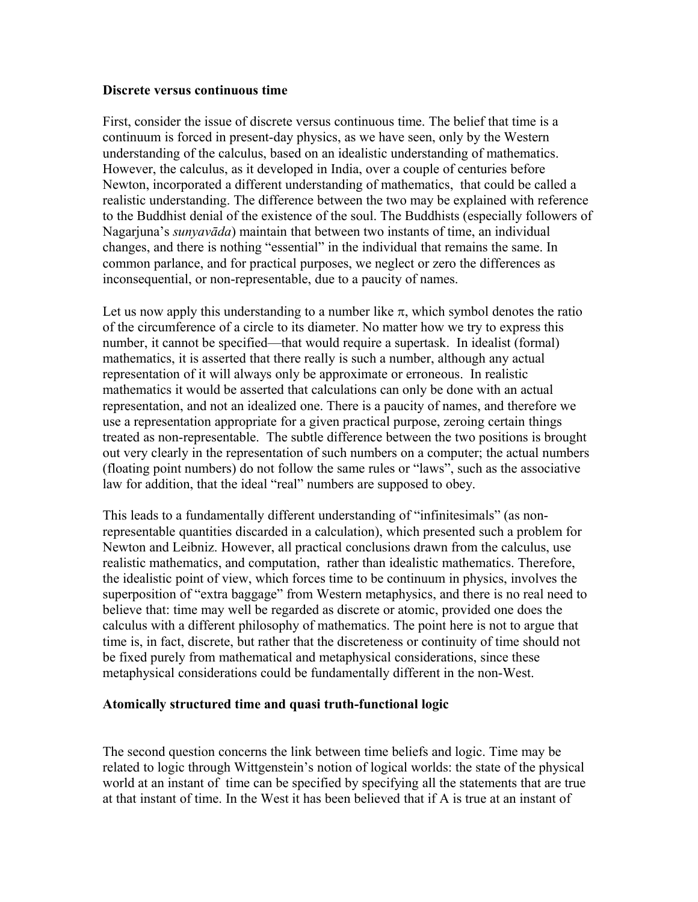#### **Discrete versus continuous time**

First, consider the issue of discrete versus continuous time. The belief that time is a continuum is forced in present-day physics, as we have seen, only by the Western understanding of the calculus, based on an idealistic understanding of mathematics. However, the calculus, as it developed in India, over a couple of centuries before Newton, incorporated a different understanding of mathematics, that could be called a realistic understanding. The difference between the two may be explained with reference to the Buddhist denial of the existence of the soul. The Buddhists (especially followers of Nagarjuna's *sunyavāda*) maintain that between two instants of time, an individual changes, and there is nothing "essential" in the individual that remains the same. In common parlance, and for practical purposes, we neglect or zero the differences as inconsequential, or non-representable, due to a paucity of names.

Let us now apply this understanding to a number like  $\pi$ , which symbol denotes the ratio of the circumference of a circle to its diameter. No matter how we try to express this number, it cannot be specified—that would require a supertask. In idealist (formal) mathematics, it is asserted that there really is such a number, although any actual representation of it will always only be approximate or erroneous. In realistic mathematics it would be asserted that calculations can only be done with an actual representation, and not an idealized one. There is a paucity of names, and therefore we use a representation appropriate for a given practical purpose, zeroing certain things treated as non-representable. The subtle difference between the two positions is brought out very clearly in the representation of such numbers on a computer; the actual numbers (floating point numbers) do not follow the same rules or "laws", such as the associative law for addition, that the ideal "real" numbers are supposed to obey.

This leads to a fundamentally different understanding of "infinitesimals" (as nonrepresentable quantities discarded in a calculation), which presented such a problem for Newton and Leibniz. However, all practical conclusions drawn from the calculus, use realistic mathematics, and computation, rather than idealistic mathematics. Therefore, the idealistic point of view, which forces time to be continuum in physics, involves the superposition of "extra baggage" from Western metaphysics, and there is no real need to believe that: time may well be regarded as discrete or atomic, provided one does the calculus with a different philosophy of mathematics. The point here is not to argue that time is, in fact, discrete, but rather that the discreteness or continuity of time should not be fixed purely from mathematical and metaphysical considerations, since these metaphysical considerations could be fundamentally different in the non-West.

### **Atomically structured time and quasi truth-functional logic**

The second question concerns the link between time beliefs and logic. Time may be related to logic through Wittgenstein's notion of logical worlds: the state of the physical world at an instant of time can be specified by specifying all the statements that are true at that instant of time. In the West it has been believed that if A is true at an instant of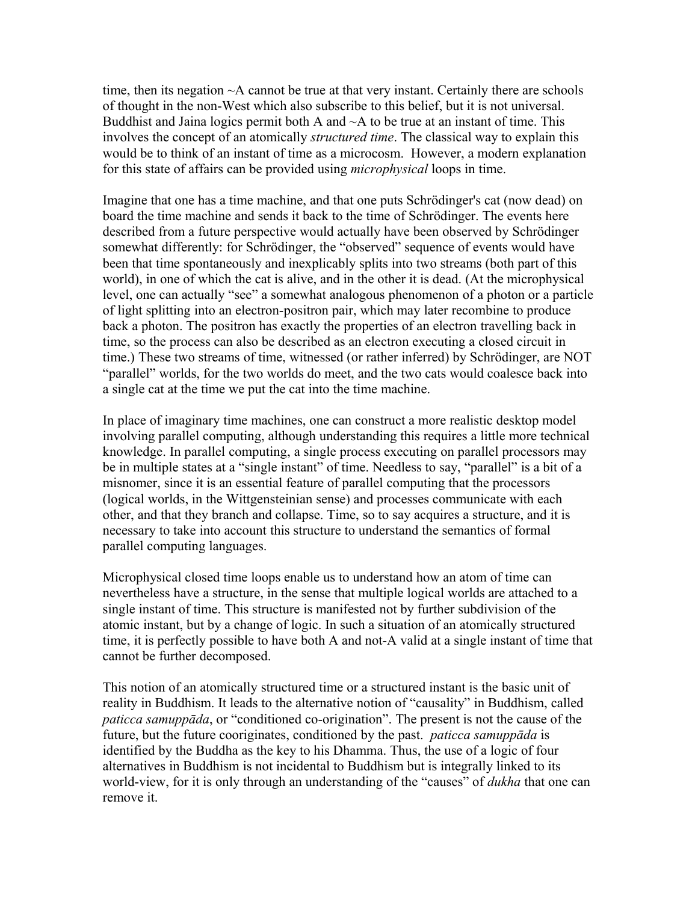time, then its negation ~A cannot be true at that very instant. Certainly there are schools of thought in the non-West which also subscribe to this belief, but it is not universal. Buddhist and Jaina logics permit both A and  $\sim$ A to be true at an instant of time. This involves the concept of an atomically *structured time*. The classical way to explain this would be to think of an instant of time as a microcosm. However, a modern explanation for this state of affairs can be provided using *microphysical* loops in time.

Imagine that one has a time machine, and that one puts Schrödinger's cat (now dead) on board the time machine and sends it back to the time of Schrödinger. The events here described from a future perspective would actually have been observed by Schrödinger somewhat differently: for Schrödinger, the "observed" sequence of events would have been that time spontaneously and inexplicably splits into two streams (both part of this world), in one of which the cat is alive, and in the other it is dead. (At the microphysical level, one can actually "see" a somewhat analogous phenomenon of a photon or a particle of light splitting into an electron-positron pair, which may later recombine to produce back a photon. The positron has exactly the properties of an electron travelling back in time, so the process can also be described as an electron executing a closed circuit in time.) These two streams of time, witnessed (or rather inferred) by Schrödinger, are NOT "parallel" worlds, for the two worlds do meet, and the two cats would coalesce back into a single cat at the time we put the cat into the time machine.

In place of imaginary time machines, one can construct a more realistic desktop model involving parallel computing, although understanding this requires a little more technical knowledge. In parallel computing, a single process executing on parallel processors may be in multiple states at a "single instant" of time. Needless to say, "parallel" is a bit of a misnomer, since it is an essential feature of parallel computing that the processors (logical worlds, in the Wittgensteinian sense) and processes communicate with each other, and that they branch and collapse. Time, so to say acquires a structure, and it is necessary to take into account this structure to understand the semantics of formal parallel computing languages.

Microphysical closed time loops enable us to understand how an atom of time can nevertheless have a structure, in the sense that multiple logical worlds are attached to a single instant of time. This structure is manifested not by further subdivision of the atomic instant, but by a change of logic. In such a situation of an atomically structured time, it is perfectly possible to have both A and not-A valid at a single instant of time that cannot be further decomposed.

This notion of an atomically structured time or a structured instant is the basic unit of reality in Buddhism. It leads to the alternative notion of "causality" in Buddhism, called *paticca samuppāda*, or "conditioned co-origination". The present is not the cause of the future, but the future cooriginates, conditioned by the past. *paticca samuppāda* is identified by the Buddha as the key to his Dhamma. Thus, the use of a logic of four alternatives in Buddhism is not incidental to Buddhism but is integrally linked to its world-view, for it is only through an understanding of the "causes" of *dukha* that one can remove it.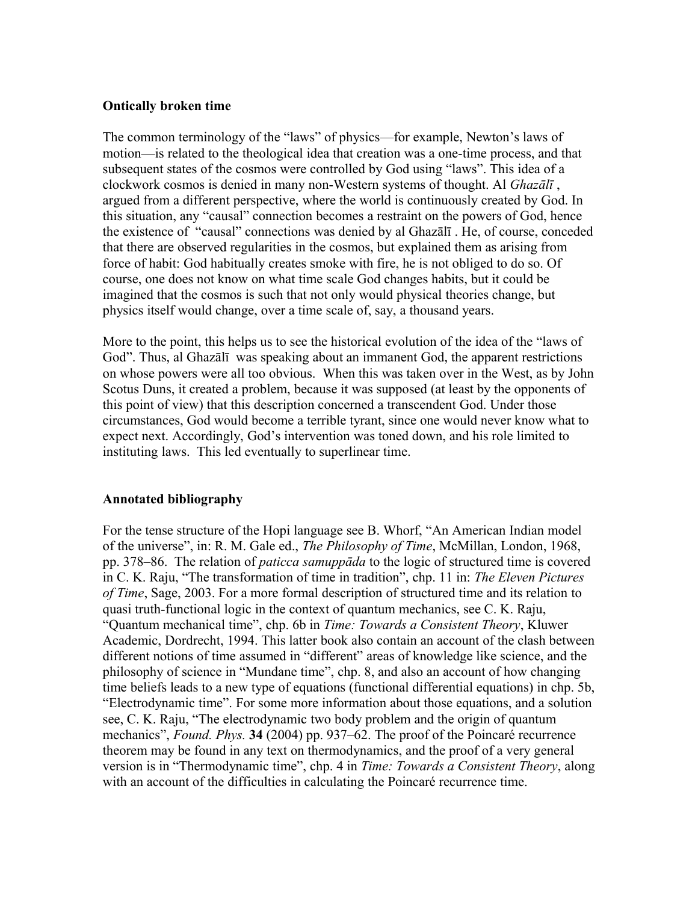### **Ontically broken time**

The common terminology of the "laws" of physics—for example, Newton's laws of motion—is related to the theological idea that creation was a one-time process, and that subsequent states of the cosmos were controlled by God using "laws". This idea of a clockwork cosmos is denied in many non-Western systems of thought. Al *Ghazālī* , argued from a different perspective, where the world is continuously created by God. In this situation, any "causal" connection becomes a restraint on the powers of God, hence the existence of "causal" connections was denied by al Ghazālī . He, of course, conceded that there are observed regularities in the cosmos, but explained them as arising from force of habit: God habitually creates smoke with fire, he is not obliged to do so. Of course, one does not know on what time scale God changes habits, but it could be imagined that the cosmos is such that not only would physical theories change, but physics itself would change, over a time scale of, say, a thousand years.

More to the point, this helps us to see the historical evolution of the idea of the "laws of God". Thus, al Ghazālī was speaking about an immanent God, the apparent restrictions on whose powers were all too obvious. When this was taken over in the West, as by John Scotus Duns, it created a problem, because it was supposed (at least by the opponents of this point of view) that this description concerned a transcendent God. Under those circumstances, God would become a terrible tyrant, since one would never know what to expect next. Accordingly, God's intervention was toned down, and his role limited to instituting laws. This led eventually to superlinear time.

### **Annotated bibliography**

For the tense structure of the Hopi language see B. Whorf, "An American Indian model of the universe", in: R. M. Gale ed., *The Philosophy of Time*, McMillan, London, 1968, pp. 378–86. The relation of *paticca samuppāda* to the logic of structured time is covered in C. K. Raju, "The transformation of time in tradition", chp. 11 in: *The Eleven Pictures of Time*, Sage, 2003. For a more formal description of structured time and its relation to quasi truth-functional logic in the context of quantum mechanics, see C. K. Raju, "Quantum mechanical time", chp. 6b in *Time: Towards a Consistent Theory*, Kluwer Academic, Dordrecht, 1994. This latter book also contain an account of the clash between different notions of time assumed in "different" areas of knowledge like science, and the philosophy of science in "Mundane time", chp. 8, and also an account of how changing time beliefs leads to a new type of equations (functional differential equations) in chp. 5b, "Electrodynamic time". For some more information about those equations, and a solution see, C. K. Raju, "The electrodynamic two body problem and the origin of quantum mechanics", *Found. Phys.* **34** (2004) pp. 937–62. The proof of the Poincaré recurrence theorem may be found in any text on thermodynamics, and the proof of a very general version is in "Thermodynamic time", chp. 4 in *Time: Towards a Consistent Theory*, along with an account of the difficulties in calculating the Poincaré recurrence time.